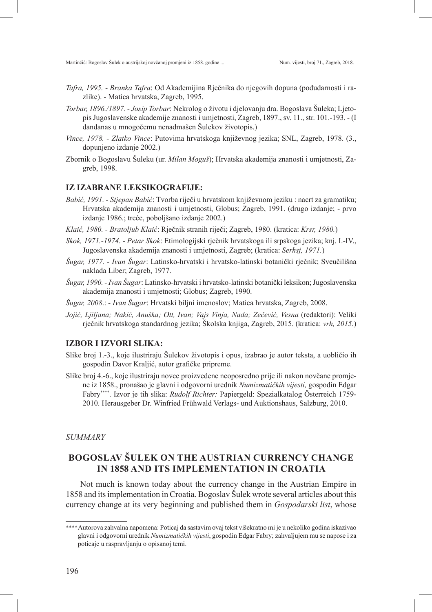- *Tafra, 1995. Branka Tafra*: Od Akademijina Rječnika do njegovih dopuna (podudarnosti i razlike). - Matica hrvatska, Zagreb, 1995.
- *Torbar, 1896./1897. Josip Torbar*: Nekrolog o životu i djelovanju dra. Bogoslava Šuleka; Ljetopis Jugoslavenske akademije znanosti i umjetnosti, Zagreb, 1897., sv. 11., str. 101.-193. *-* (I dandanas u mnogočemu nenadmašen Šulekov životopis.)
- *Vince, 1978. Zlatko Vince*: Putovima hrvatskoga književnog jezika; SNL, Zagreb, 1978. (3., dopunjeno izdanje 2002.)
- Zbornik o Bogoslavu Šuleku (ur. *Milan Moguš*); Hrvatska akademija znanosti i umjetnosti, Zagreb, 1998.

## **IZ IZABRANE LEKSIKOGRAFIJE:**

- *Babić, 1991. Stjepan Babić*: Tvorba riječi u hrvatskom književnom jeziku : nacrt za gramatiku; Hrvatska akademija znanosti i umjetnosti, Globus; Zagreb, 1991. (drugo izdanje; - prvo izdanje 1986.; treće, poboljšano izdanje 2002.)
- *Klaić, 1980. Bratoljub Klaić*: Rječnik stranih riječi; Zagreb, 1980. (kratica: *Krsr, 1980.*)
- *Skok, 1971.-1974*. *Petar Skok*: Etimologijski rječnik hrvatskoga ili srpskoga jezika; knj. I.-IV., Jugoslavenska akademija znanosti i umjetnosti, Zagreb; (kratica: *Serhsj, 1971.*)
- *Šugar, 1977. - Ivan Šugar*: Latinsko-hrvatski i hrvatsko-latinski botanički rječnik; Sveučilišna naklada Liber; Zagreb, 1977.
- *Šugar, 1990. Ivan Šugar*: Latinsko-hrvatski i hrvatsko-latinski botanički leksikon;Jugoslavenska akademija znanosti i umjetnosti; Globus; Zagreb, 1990.
- *Šugar, 2008*.: *Ivan Šugar*: Hrvatski biljni imenoslov; Matica hrvatska, Zagreb, 2008.
- *Jojić, Ljiljana; Nakić, Anuška; Ott, Ivan; Vajs Vinja, Nada; Zečević, Vesna* (redaktori): Veliki rječnik hrvatskoga standardnog jezika; Školska knjiga, Zagreb, 2015. (kratica: *vrh, 2015.*)

## **IZBOR I IZVORI SLIKA:**

- Slike broj 1.-3., koje ilustriraju Šulekov životopis i opus, izabrao je autor teksta, a uobličio ih gospodin Davor Kraljić, autor grafičke pripreme.
- Slike broj 4.-6., koje ilustriraju novce proizvedene neoposredno prije ili nakon novčane promjene iz 1858., pronašao je glavni i odgovorni urednik *Numizmatičkih vijesti,* gospodin Edgar Fabry\*\*\*\*. Izvor je tih slika: *Rudolf Richter:* Papiergeld: Spezialkatalog Österreich 1759- 2010. Herausgeber Dr. Winfried Frühwald Verlags- und Auktionshaus, Salzburg, 2010.

## *SUMMARY*

## **BOGOSLAV ŠULEK ON THE AUSTRIAN CURRENCY CHANGE IN 1858 AND ITS IMPLEMENTATION IN CROATIA**

Not much is known today about the currency change in the Austrian Empire in 1858 and its implementation in Croatia. Bogoslav Šulek wrote several articles about this currency change at its very beginning and published them in *Gospodarski list*, whose

<sup>\*\*\*\*</sup>Autorova zahvalna napomena: Poticaj da sastavim ovaj tekst višekratno mi je u nekoliko godina iskazivao glavni i odgovorni urednik *Numizmatičkih vijesti*, gospodin Edgar Fabry; zahvaljujem mu se napose i za poticaje u raspravljanju o opisanoj temi.